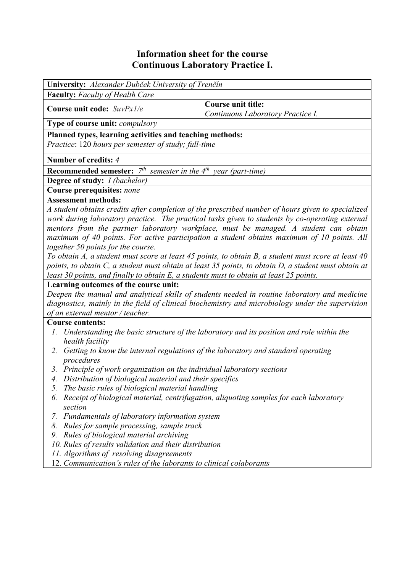# **Information sheet for the course Continuous Laboratory Practice I.**

| University: Alexander Dubček University of Trenčín                                                                                                                                              |                                                                                                                                                                                                                                                                                                                                                                                                                                                                                                   |  |  |  |
|-------------------------------------------------------------------------------------------------------------------------------------------------------------------------------------------------|---------------------------------------------------------------------------------------------------------------------------------------------------------------------------------------------------------------------------------------------------------------------------------------------------------------------------------------------------------------------------------------------------------------------------------------------------------------------------------------------------|--|--|--|
| <b>Faculty:</b> Faculty of Health Care                                                                                                                                                          |                                                                                                                                                                                                                                                                                                                                                                                                                                                                                                   |  |  |  |
| Course unit code: $SuvPx1/e$                                                                                                                                                                    | <b>Course unit title:</b><br>Continuous Laboratory Practice I.                                                                                                                                                                                                                                                                                                                                                                                                                                    |  |  |  |
| <b>Type of course unit:</b> <i>compulsory</i>                                                                                                                                                   |                                                                                                                                                                                                                                                                                                                                                                                                                                                                                                   |  |  |  |
| Planned types, learning activities and teaching methods:<br>Practice: 120 hours per semester of study; full-time                                                                                |                                                                                                                                                                                                                                                                                                                                                                                                                                                                                                   |  |  |  |
| Number of credits: 4                                                                                                                                                                            |                                                                                                                                                                                                                                                                                                                                                                                                                                                                                                   |  |  |  |
| <b>Recommended semester:</b> $7th$ semester in the 4 <sup>th</sup> year (part-time)                                                                                                             |                                                                                                                                                                                                                                                                                                                                                                                                                                                                                                   |  |  |  |
| <b>Degree of study:</b> <i>I (bachelor)</i>                                                                                                                                                     |                                                                                                                                                                                                                                                                                                                                                                                                                                                                                                   |  |  |  |
| Course prerequisites: none                                                                                                                                                                      |                                                                                                                                                                                                                                                                                                                                                                                                                                                                                                   |  |  |  |
| <b>Assessment methods:</b><br>together 50 points for the course.                                                                                                                                | A student obtains credits after completion of the prescribed number of hours given to specialized<br>work during laboratory practice. The practical tasks given to students by co-operating external<br>mentors from the partner laboratory workplace, must be managed. A student can obtain<br>maximum of 40 points. For active participation a student obtains maximum of 10 points. All<br>To obtain A, a student must score at least 45 points, to obtain B, a student must score at least 40 |  |  |  |
| points, to obtain C, a student must obtain at least 35 points, to obtain D, a student must obtain at<br>least 30 points, and finally to obtain E, a students must to obtain at least 25 points. |                                                                                                                                                                                                                                                                                                                                                                                                                                                                                                   |  |  |  |

## **Learning outcomes of the course unit:**

*Deepen the manual and analytical skills of students needed in routine laboratory and medicine diagnostics, mainly in the field of clinical biochemistry and microbiology under the supervision of an external mentor / teacher.* 

#### **Course contents:**

- *1. Understanding the basic structure of the laboratory and its position and role within the health facility*
- *2. Getting to know the internal regulations of the laboratory and standard operating procedures*
- *3. Principle of work organization on the individual laboratory sections*
- *4. Distribution of biological material and their specifics*
- *5. The basic rules of biological material handling*
- *6. Receipt of biological material, centrifugation, aliquoting samples for each laboratory section*
- *7. Fundamentals of laboratory information system*
- *8. Rules for sample processing, sample track*
- *9. Rules of biological material archiving*
- *10. Rules of results validation and their distribution*
- *11. Algorithms of resolving disagreements*
- 12. *Communication's rules of the laborants to clinical colaborants*